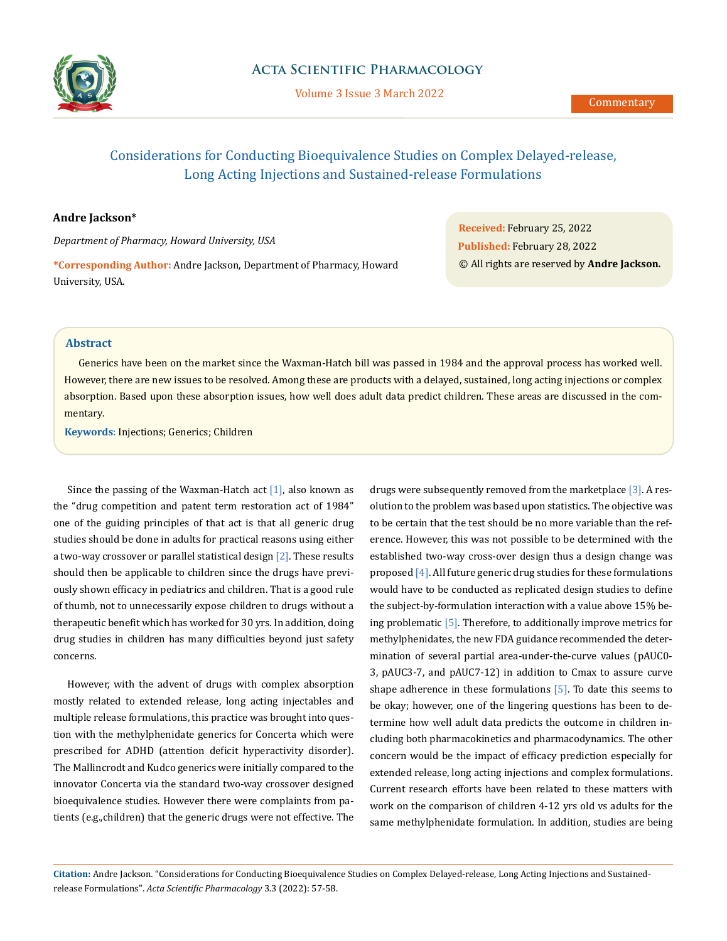

Volume 3 Issue 3 March 2022

# Considerations for Conducting Bioequivalence Studies on Complex Delayed-release, Long Acting Injections and Sustained-release Formulations

## **Andre Jackson\***

*Department of Pharmacy, Howard University, USA*

**\*Corresponding Author:** Andre Jackson, Department of Pharmacy, Howard University, USA.

**Received:** February 25, 2022 **Published:** February 28, 2022 © All rights are reserved by **Andre Jackson***.*

## **Abstract**

Generics have been on the market since the Waxman-Hatch bill was passed in 1984 and the approval process has worked well. However, there are new issues to be resolved. Among these are products with a delayed, sustained, long acting injections or complex absorption. Based upon these absorption issues, how well does adult data predict children. These areas are discussed in the commentary.

**Keywords**: Injections; Generics; Children

Since the passing of the Waxman-Hatch act  $[1]$ , also known as the "drug competition and patent term restoration act of 1984" one of the guiding principles of that act is that all generic drug studies should be done in adults for practical reasons using either a two-way crossover or parallel statistical design [2]. These results should then be applicable to children since the drugs have previously shown efficacy in pediatrics and children. That is a good rule of thumb, not to unnecessarily expose children to drugs without a therapeutic benefit which has worked for 30 yrs. In addition, doing drug studies in children has many difficulties beyond just safety concerns.

However, with the advent of drugs with complex absorption mostly related to extended release, long acting injectables and multiple release formulations, this practice was brought into question with the methylphenidate generics for Concerta which were prescribed for ADHD (attention deficit hyperactivity disorder). The Mallincrodt and Kudco generics were initially compared to the innovator Concerta via the standard two-way crossover designed bioequivalence studies. However there were complaints from patients (e.g.,children) that the generic drugs were not effective. The drugs were subsequently removed from the marketplace [3]. A resolution to the problem was based upon statistics. The objective was to be certain that the test should be no more variable than the reference. However, this was not possible to be determined with the established two-way cross-over design thus a design change was proposed [4]. All future generic drug studies for these formulations would have to be conducted as replicated design studies to define the subject-by-formulation interaction with a value above 15% being problematic [5]. Therefore, to additionally improve metrics for methylphenidates, the new FDA guidance recommended the determination of several partial area-under-the-curve values (pAUC0- 3, pAUC3-7, and pAUC7-12) in addition to Cmax to assure curve shape adherence in these formulations  $[5]$ . To date this seems to be okay; however, one of the lingering questions has been to determine how well adult data predicts the outcome in children including both pharmacokinetics and pharmacodynamics. The other concern would be the impact of efficacy prediction especially for extended release, long acting injections and complex formulations. Current research efforts have been related to these matters with work on the comparison of children 4-12 yrs old vs adults for the same methylphenidate formulation. In addition, studies are being

**Citation:** Andre Jackson*.* "Considerations for Conducting Bioequivalence Studies on Complex Delayed-release, Long Acting Injections and Sustainedrelease Formulations". *Acta Scientific Pharmacology* 3.3 (2022): 57-58.